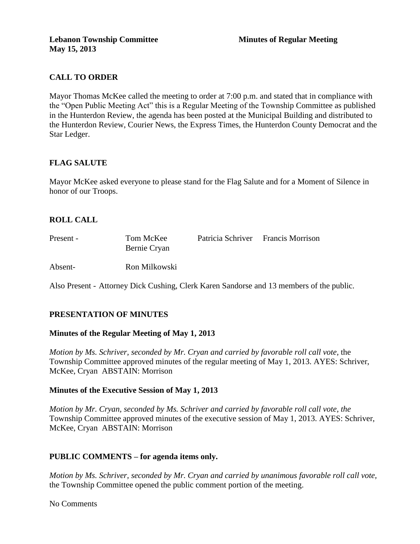# **CALL TO ORDER**

Mayor Thomas McKee called the meeting to order at 7:00 p.m. and stated that in compliance with the "Open Public Meeting Act" this is a Regular Meeting of the Township Committee as published in the Hunterdon Review, the agenda has been posted at the Municipal Building and distributed to the Hunterdon Review, Courier News, the Express Times, the Hunterdon County Democrat and the Star Ledger.

# **FLAG SALUTE**

Mayor McKee asked everyone to please stand for the Flag Salute and for a Moment of Silence in honor of our Troops.

# **ROLL CALL**

| Present - | Tom McKee<br>Bernie Cryan | Patricia Schriver Francis Morrison |
|-----------|---------------------------|------------------------------------|
| Absent-   | Ron Milkowski             |                                    |

Also Present - Attorney Dick Cushing, Clerk Karen Sandorse and 13 members of the public.

### **PRESENTATION OF MINUTES**

### **Minutes of the Regular Meeting of May 1, 2013**

*Motion by Ms. Schriver, seconded by Mr. Cryan and carried by favorable roll call vote,* the Township Committee approved minutes of the regular meeting of May 1, 2013. AYES: Schriver, McKee, Cryan ABSTAIN: Morrison

### **Minutes of the Executive Session of May 1, 2013**

*Motion by Mr. Cryan, seconded by Ms. Schriver and carried by favorable roll call vote, the* Township Committee approved minutes of the executive session of May 1, 2013. AYES: Schriver, McKee, Cryan ABSTAIN: Morrison

### **PUBLIC COMMENTS – for agenda items only.**

*Motion by Ms. Schriver, seconded by Mr. Cryan and carried by unanimous favorable roll call vote,* the Township Committee opened the public comment portion of the meeting.

No Comments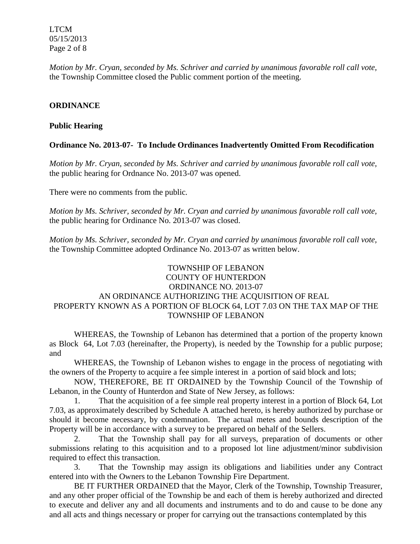LTCM 05/15/2013 Page 2 of 8

*Motion by Mr. Cryan, seconded by Ms. Schriver and carried by unanimous favorable roll call vote,* the Township Committee closed the Public comment portion of the meeting.

### **ORDINANCE**

### **Public Hearing**

#### **Ordinance No. 2013-07- To Include Ordinances Inadvertently Omitted From Recodification**

*Motion by Mr. Cryan, seconded by Ms. Schriver and carried by unanimous favorable roll call vote,* the public hearing for Ordnance No. 2013-07 was opened.

There were no comments from the public*.*

*Motion by Ms. Schriver, seconded by Mr. Cryan and carried by unanimous favorable roll call vote,* the public hearing for Ordinance No. 2013-07 was closed.

*Motion by Ms. Schriver, seconded by Mr. Cryan and carried by unanimous favorable roll call vote,*  the Township Committee adopted Ordinance No. 2013-07 as written below.

# TOWNSHIP OF LEBANON COUNTY OF HUNTERDON ORDINANCE NO. 2013-07 AN ORDINANCE AUTHORIZING THE ACQUISITION OF REAL PROPERTY KNOWN AS A PORTION OF BLOCK 64, LOT 7.03 ON THE TAX MAP OF THE TOWNSHIP OF LEBANON

WHEREAS, the Township of Lebanon has determined that a portion of the property known as Block 64, Lot 7.03 (hereinafter, the Property), is needed by the Township for a public purpose; and

WHEREAS, the Township of Lebanon wishes to engage in the process of negotiating with the owners of the Property to acquire a fee simple interest in a portion of said block and lots;

NOW, THEREFORE, BE IT ORDAINED by the Township Council of the Township of Lebanon, in the County of Hunterdon and State of New Jersey, as follows:

1. That the acquisition of a fee simple real property interest in a portion of Block 64, Lot 7.03, as approximately described by Schedule A attached hereto, is hereby authorized by purchase or should it become necessary, by condemnation. The actual metes and bounds description of the Property will be in accordance with a survey to be prepared on behalf of the Sellers.

2. That the Township shall pay for all surveys, preparation of documents or other submissions relating to this acquisition and to a proposed lot line adjustment/minor subdivision required to effect this transaction.

3. That the Township may assign its obligations and liabilities under any Contract entered into with the Owners to the Lebanon Township Fire Department.

BE IT FURTHER ORDAINED that the Mayor, Clerk of the Township, Township Treasurer, and any other proper official of the Township be and each of them is hereby authorized and directed to execute and deliver any and all documents and instruments and to do and cause to be done any and all acts and things necessary or proper for carrying out the transactions contemplated by this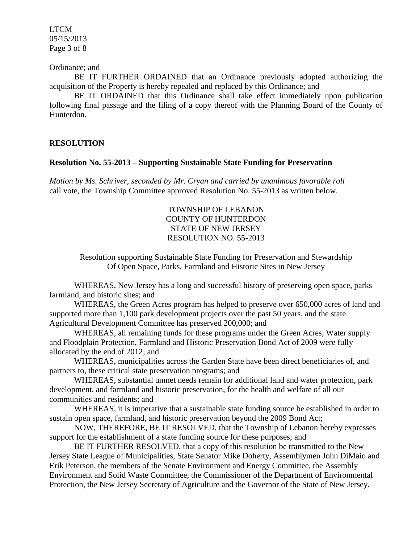LTCM 05/15/2013 Page 3 of 8

#### Ordinance; and

BE IT FURTHER ORDAINED that an Ordinance previously adopted authorizing the acquisition of the Property is hereby repealed and replaced by this Ordinance; and

BE IT ORDAINED that this Ordinance shall take effect immediately upon publication following final passage and the filing of a copy thereof with the Planning Board of the County of Hunterdon.

# **RESOLUTION**

#### **Resolution No. 55-2013 – Supporting Sustainable State Funding for Preservation**

*Motion by Ms. Schriver, seconded by Mr. Cryan and carried by unanimous favorable roll*  call vote, the Township Committee approved Resolution No. 55-2013 as written below.

> TOWNSHIP OF LEBANON COUNTY OF HUNTERDON STATE OF NEW JERSEY RESOLUTION NO. 55-2013

Resolution supporting Sustainable State Funding for Preservation and Stewardship Of Open Space, Parks, Farmland and Historic Sites in New Jersey

WHEREAS, New Jersey has a long and successful history of preserving open space, parks farmland, and historic sites; and

WHEREAS, the Green Acres program has helped to preserve over 650,000 acres of land and supported more than 1,100 park development projects over the past 50 years, and the state Agricultural Development Committee has preserved 200,000; and

WHEREAS, all remaining funds for these programs under the Green Acres, Water supply and Floodplain Protection, Farmland and Historic Preservation Bond Act of 2009 were fully allocated by the end of 2012; and

WHEREAS, municipalities across the Garden State have been direct beneficiaries of, and partners to, these critical state preservation programs; and

WHEREAS, substantial unmet needs remain for additional land and water protection, park development, and farmland and historic preservation, for the health and welfare of all our communities and residents; and

WHEREAS, it is imperative that a sustainable state funding source be established in order to sustain open space, farmland, and historic preservation beyond the 2009 Bond Act;

NOW, THEREFORE, BE IT RESOLVED, that the Township of Lebanon hereby expresses support for the establishment of a state funding source for these purposes; and

BE IT FURTHER RESOLVED, that a copy of this resolution be transmitted to the New Jersey State League of Municipalities, State Senator Mike Doherty, Assemblymen John DiMaio and Erik Peterson, the members of the Senate Environment and Energy Committee, the Assembly Environment and Solid Waste Committee, the Commissioner of the Department of Environmental Protection, the New Jersey Secretary of Agriculture and the Governor of the State of New Jersey.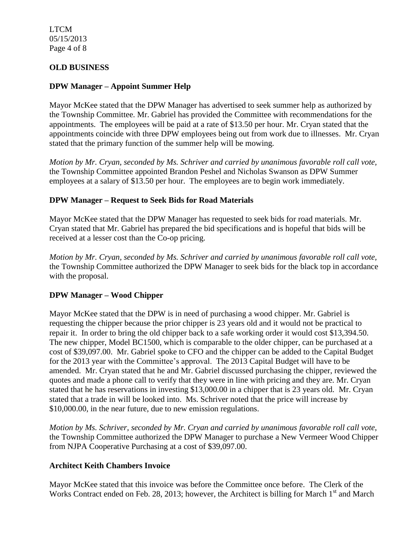LTCM 05/15/2013 Page 4 of 8

# **OLD BUSINESS**

# **DPW Manager – Appoint Summer Help**

Mayor McKee stated that the DPW Manager has advertised to seek summer help as authorized by the Township Committee. Mr. Gabriel has provided the Committee with recommendations for the appointments. The employees will be paid at a rate of \$13.50 per hour. Mr. Cryan stated that the appointments coincide with three DPW employees being out from work due to illnesses. Mr. Cryan stated that the primary function of the summer help will be mowing.

*Motion by Mr. Cryan, seconded by Ms. Schriver and carried by unanimous favorable roll call vote,* the Township Committee appointed Brandon Peshel and Nicholas Swanson as DPW Summer employees at a salary of \$13.50 per hour. The employees are to begin work immediately.

# **DPW Manager – Request to Seek Bids for Road Materials**

Mayor McKee stated that the DPW Manager has requested to seek bids for road materials. Mr. Cryan stated that Mr. Gabriel has prepared the bid specifications and is hopeful that bids will be received at a lesser cost than the Co-op pricing.

*Motion by Mr. Cryan, seconded by Ms. Schriver and carried by unanimous favorable roll call vote,* the Township Committee authorized the DPW Manager to seek bids for the black top in accordance with the proposal.

### **DPW Manager – Wood Chipper**

Mayor McKee stated that the DPW is in need of purchasing a wood chipper. Mr. Gabriel is requesting the chipper because the prior chipper is 23 years old and it would not be practical to repair it. In order to bring the old chipper back to a safe working order it would cost \$13,394.50. The new chipper, Model BC1500, which is comparable to the older chipper, can be purchased at a cost of \$39,097.00. Mr. Gabriel spoke to CFO and the chipper can be added to the Capital Budget for the 2013 year with the Committee's approval. The 2013 Capital Budget will have to be amended. Mr. Cryan stated that he and Mr. Gabriel discussed purchasing the chipper, reviewed the quotes and made a phone call to verify that they were in line with pricing and they are. Mr. Cryan stated that he has reservations in investing \$13,000.00 in a chipper that is 23 years old. Mr. Cryan stated that a trade in will be looked into. Ms. Schriver noted that the price will increase by \$10,000.00, in the near future, due to new emission regulations.

*Motion by Ms. Schriver, seconded by Mr. Cryan and carried by unanimous favorable roll call vote*, the Township Committee authorized the DPW Manager to purchase a New Vermeer Wood Chipper from NJPA Cooperative Purchasing at a cost of \$39,097.00.

### **Architect Keith Chambers Invoice**

Mayor McKee stated that this invoice was before the Committee once before. The Clerk of the Works Contract ended on Feb. 28, 2013; however, the Architect is billing for March  $1<sup>st</sup>$  and March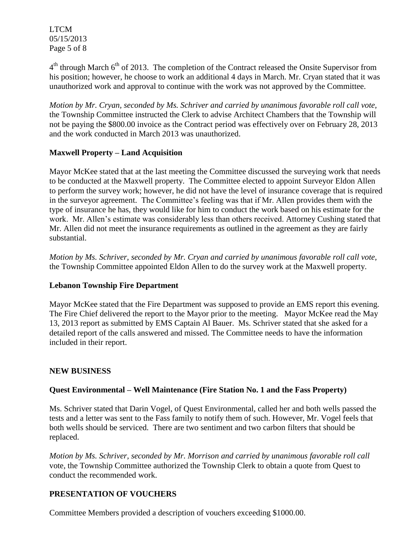LTCM 05/15/2013 Page 5 of 8

 $4<sup>th</sup>$  through March 6<sup>th</sup> of 2013. The completion of the Contract released the Onsite Supervisor from his position; however, he choose to work an additional 4 days in March. Mr. Cryan stated that it was unauthorized work and approval to continue with the work was not approved by the Committee.

*Motion by Mr. Cryan, seconded by Ms. Schriver and carried by unanimous favorable roll call vote,* the Township Committee instructed the Clerk to advise Architect Chambers that the Township will not be paying the \$800.00 invoice as the Contract period was effectively over on February 28, 2013 and the work conducted in March 2013 was unauthorized.

# **Maxwell Property – Land Acquisition**

Mayor McKee stated that at the last meeting the Committee discussed the surveying work that needs to be conducted at the Maxwell property. The Committee elected to appoint Surveyor Eldon Allen to perform the survey work; however, he did not have the level of insurance coverage that is required in the surveyor agreement. The Committee's feeling was that if Mr. Allen provides them with the type of insurance he has, they would like for him to conduct the work based on his estimate for the work. Mr. Allen's estimate was considerably less than others received. Attorney Cushing stated that Mr. Allen did not meet the insurance requirements as outlined in the agreement as they are fairly substantial.

*Motion by Ms. Schriver, seconded by Mr. Cryan and carried by unanimous favorable roll call vote,* the Township Committee appointed Eldon Allen to do the survey work at the Maxwell property.

### **Lebanon Township Fire Department**

Mayor McKee stated that the Fire Department was supposed to provide an EMS report this evening. The Fire Chief delivered the report to the Mayor prior to the meeting. Mayor McKee read the May 13, 2013 report as submitted by EMS Captain Al Bauer. Ms. Schriver stated that she asked for a detailed report of the calls answered and missed. The Committee needs to have the information included in their report.

### **NEW BUSINESS**

# **Quest Environmental – Well Maintenance (Fire Station No. 1 and the Fass Property)**

Ms. Schriver stated that Darin Vogel, of Quest Environmental, called her and both wells passed the tests and a letter was sent to the Fass family to notify them of such. However, Mr. Vogel feels that both wells should be serviced. There are two sentiment and two carbon filters that should be replaced.

*Motion by Ms. Schriver, seconded by Mr. Morrison and carried by unanimous favorable roll call* vote, the Township Committee authorized the Township Clerk to obtain a quote from Quest to conduct the recommended work.

# **PRESENTATION OF VOUCHERS**

Committee Members provided a description of vouchers exceeding \$1000.00.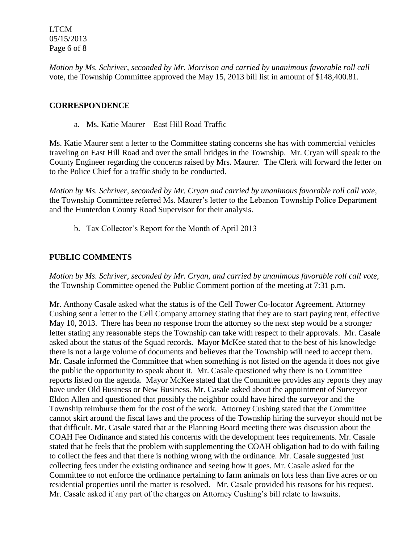LTCM 05/15/2013 Page 6 of 8

*Motion by Ms. Schriver, seconded by Mr. Morrison and carried by unanimous favorable roll call* vote, the Township Committee approved the May 15, 2013 bill list in amount of \$148,400.81.

# **CORRESPONDENCE**

a. Ms. Katie Maurer – East Hill Road Traffic

Ms. Katie Maurer sent a letter to the Committee stating concerns she has with commercial vehicles traveling on East Hill Road and over the small bridges in the Township. Mr. Cryan will speak to the County Engineer regarding the concerns raised by Mrs. Maurer. The Clerk will forward the letter on to the Police Chief for a traffic study to be conducted.

*Motion by Ms. Schriver, seconded by Mr. Cryan and carried by unanimous favorable roll call vote,*  the Township Committee referred Ms. Maurer's letter to the Lebanon Township Police Department and the Hunterdon County Road Supervisor for their analysis.

b. Tax Collector's Report for the Month of April 2013

# **PUBLIC COMMENTS**

*Motion by Ms. Schriver, seconded by Mr. Cryan, and carried by unanimous favorable roll call vote,* the Township Committee opened the Public Comment portion of the meeting at 7:31 p.m.

Mr. Anthony Casale asked what the status is of the Cell Tower Co-locator Agreement. Attorney Cushing sent a letter to the Cell Company attorney stating that they are to start paying rent, effective May 10, 2013. There has been no response from the attorney so the next step would be a stronger letter stating any reasonable steps the Township can take with respect to their approvals. Mr. Casale asked about the status of the Squad records. Mayor McKee stated that to the best of his knowledge there is not a large volume of documents and believes that the Township will need to accept them. Mr. Casale informed the Committee that when something is not listed on the agenda it does not give the public the opportunity to speak about it. Mr. Casale questioned why there is no Committee reports listed on the agenda. Mayor McKee stated that the Committee provides any reports they may have under Old Business or New Business. Mr. Casale asked about the appointment of Surveyor Eldon Allen and questioned that possibly the neighbor could have hired the surveyor and the Township reimburse them for the cost of the work. Attorney Cushing stated that the Committee cannot skirt around the fiscal laws and the process of the Township hiring the surveyor should not be that difficult. Mr. Casale stated that at the Planning Board meeting there was discussion about the COAH Fee Ordinance and stated his concerns with the development fees requirements. Mr. Casale stated that he feels that the problem with supplementing the COAH obligation had to do with failing to collect the fees and that there is nothing wrong with the ordinance. Mr. Casale suggested just collecting fees under the existing ordinance and seeing how it goes. Mr. Casale asked for the Committee to not enforce the ordinance pertaining to farm animals on lots less than five acres or on residential properties until the matter is resolved. Mr. Casale provided his reasons for his request. Mr. Casale asked if any part of the charges on Attorney Cushing's bill relate to lawsuits.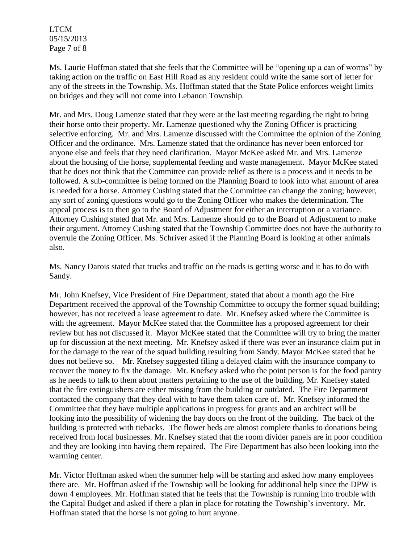LTCM 05/15/2013 Page 7 of 8

Ms. Laurie Hoffman stated that she feels that the Committee will be "opening up a can of worms" by taking action on the traffic on East Hill Road as any resident could write the same sort of letter for any of the streets in the Township. Ms. Hoffman stated that the State Police enforces weight limits on bridges and they will not come into Lebanon Township.

Mr. and Mrs. Doug Lamenze stated that they were at the last meeting regarding the right to bring their horse onto their property. Mr. Lamenze questioned why the Zoning Officer is practicing selective enforcing. Mr. and Mrs. Lamenze discussed with the Committee the opinion of the Zoning Officer and the ordinance. Mrs. Lamenze stated that the ordinance has never been enforced for anyone else and feels that they need clarification. Mayor McKee asked Mr. and Mrs. Lamenze about the housing of the horse, supplemental feeding and waste management. Mayor McKee stated that he does not think that the Committee can provide relief as there is a process and it needs to be followed. A sub-committee is being formed on the Planning Board to look into what amount of area is needed for a horse. Attorney Cushing stated that the Committee can change the zoning; however, any sort of zoning questions would go to the Zoning Officer who makes the determination. The appeal process is to then go to the Board of Adjustment for either an interruption or a variance. Attorney Cushing stated that Mr. and Mrs. Lamenze should go to the Board of Adjustment to make their argument. Attorney Cushing stated that the Township Committee does not have the authority to overrule the Zoning Officer. Ms. Schriver asked if the Planning Board is looking at other animals also.

Ms. Nancy Darois stated that trucks and traffic on the roads is getting worse and it has to do with Sandy.

Mr. John Knefsey, Vice President of Fire Department, stated that about a month ago the Fire Department received the approval of the Township Committee to occupy the former squad building; however, has not received a lease agreement to date. Mr. Knefsey asked where the Committee is with the agreement. Mayor McKee stated that the Committee has a proposed agreement for their review but has not discussed it. Mayor McKee stated that the Committee will try to bring the matter up for discussion at the next meeting. Mr. Knefsey asked if there was ever an insurance claim put in for the damage to the rear of the squad building resulting from Sandy. Mayor McKee stated that he does not believe so. Mr. Knefsey suggested filing a delayed claim with the insurance company to recover the money to fix the damage. Mr. Knefsey asked who the point person is for the food pantry as he needs to talk to them about matters pertaining to the use of the building. Mr. Knefsey stated that the fire extinguishers are either missing from the building or outdated. The Fire Department contacted the company that they deal with to have them taken care of. Mr. Knefsey informed the Committee that they have multiple applications in progress for grants and an architect will be looking into the possibility of widening the bay doors on the front of the building. The back of the building is protected with tiebacks. The flower beds are almost complete thanks to donations being received from local businesses. Mr. Knefsey stated that the room divider panels are in poor condition and they are looking into having them repaired. The Fire Department has also been looking into the warming center.

Mr. Victor Hoffman asked when the summer help will be starting and asked how many employees there are. Mr. Hoffman asked if the Township will be looking for additional help since the DPW is down 4 employees. Mr. Hoffman stated that he feels that the Township is running into trouble with the Capital Budget and asked if there a plan in place for rotating the Township's inventory. Mr. Hoffman stated that the horse is not going to hurt anyone.